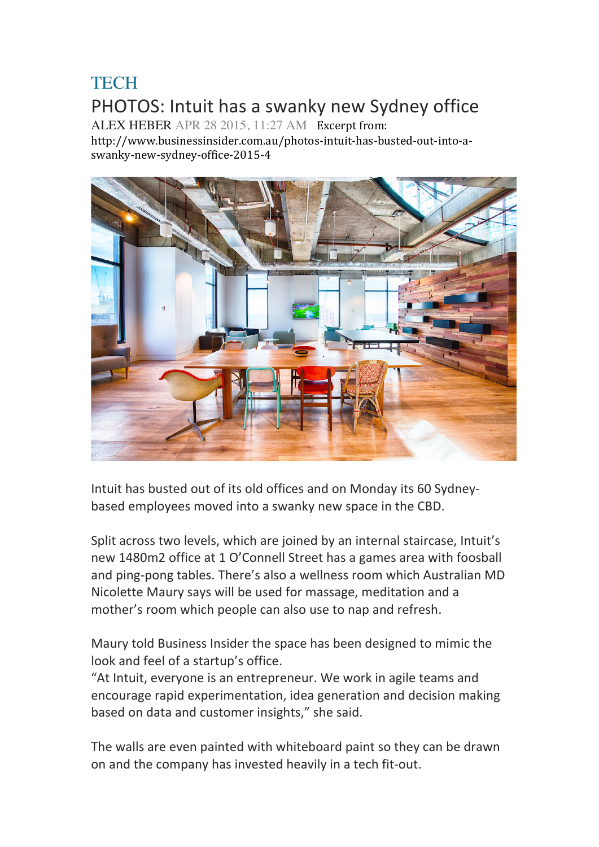## **TECH** PHOTOS: Intuit has a swanky new Sydney office

ALEX HEBER APR 28 2015, 11:27 AM Excerpt from:

http://www.businessinsider.com.au/photos-intuit-has-busted-out-into-aswanky-new-sydney-office-2015-4



Intuit has busted out of its old offices and on Monday its 60 Sydneybased employees moved into a swanky new space in the CBD.

Split across two levels, which are joined by an internal staircase, Intuit's new 1480m2 office at 1 O'Connell Street has a games area with foosball and ping-pong tables. There's also a wellness room which Australian MD Nicolette Maury says will be used for massage, meditation and a mother's room which people can also use to nap and refresh.

Maury told Business Insider the space has been designed to mimic the look and feel of a startup's office.

"At Intuit, everyone is an entrepreneur. We work in agile teams and encourage rapid experimentation, idea generation and decision making based on data and customer insights," she said.

The walls are even painted with whiteboard paint so they can be drawn on and the company has invested heavily in a tech fit-out.